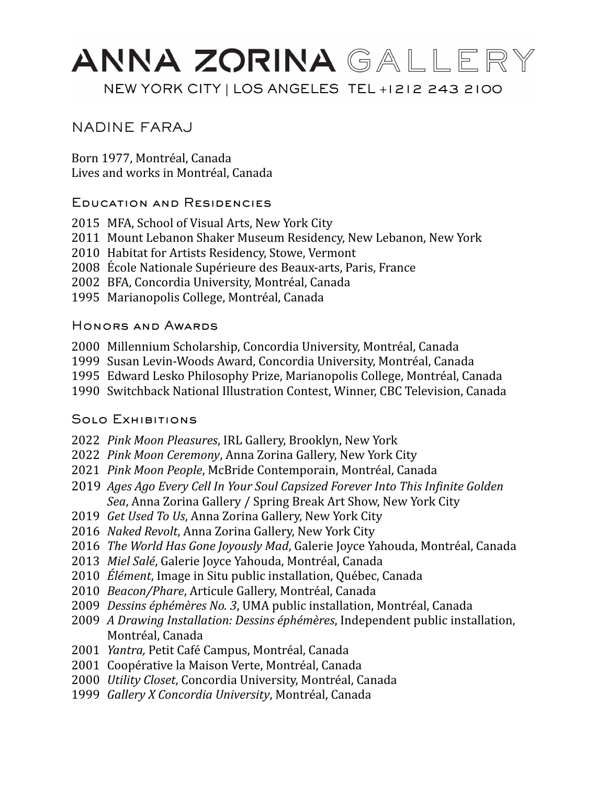# ANNA ZORINA GALLERY NEW YORK CITY | LOS ANGELES TEL +1212 243 2100

### NADINE FARAJ

Born 1977, Montréal, Canada Lives and works in Montréal, Canada

#### Education and Residencies

- 2015 MFA, School of Visual Arts, New York City
- 2011 Mount Lebanon Shaker Museum Residency, New Lebanon, New York
- 2010 Habitat for Artists Residency, Stowe, Vermont
- 2008 École Nationale Supérieure des Beaux-arts, Paris, France
- 2002 BFA, Concordia University, Montréal, Canada
- 1995 Marianopolis College, Montréal, Canada

#### Honors and Awards

- 2000 Millennium Scholarship, Concordia University, Montréal, Canada
- 1999 Susan Levin-Woods Award, Concordia University, Montréal, Canada
- 1995 Edward Lesko Philosophy Prize, Marianopolis College, Montréal, Canada
- 1990 Switchback National Illustration Contest, Winner, CBC Television, Canada

### Solo Exhibitions

- 2022 *Pink Moon Pleasures*, IRL Gallery, Brooklyn, New York
- 2022 *Pink Moon Ceremony*, Anna Zorina Gallery, New York City
- 2021 *Pink Moon People*, McBride Contemporain, Montréal, Canada
- 2019 *Ages Ago Every Cell In Your Soul Capsized Forever Into This Infinite Golden*  Sea, Anna Zorina Gallery / Spring Break Art Show, New York City
- 2019 *Get Used To Us*, Anna Zorina Gallery, New York City
- 2016 *Naked Revolt*, Anna Zorina Gallery, New York City
- 2016 *The World Has Gone Joyously Mad*, Galerie Joyce Yahouda, Montréal, Canada
- 2013 *Miel Salé*, Galerie Joyce Yahouda, Montréal, Canada
- 2010 *Élément*, Image in Situ public installation, Québec, Canada
- 2010 *Beacon/Phare, Articule Gallery, Montréal, Canada*
- 2009 *Dessins éphémères No. 3*, UMA public installation, Montréal, Canada
- 2009 *A Drawing Installation: Dessins éphémères*, Independent public installation, Montréal, Canada
- 2001 *Yantra,* Petit Café Campus, Montréal, Canada
- 2001 Coopérative la Maison Verte, Montréal, Canada
- 2000 *Utility Closet*, Concordia University, Montréal, Canada
- 1999 *Gallery X Concordia University*, Montréal, Canada